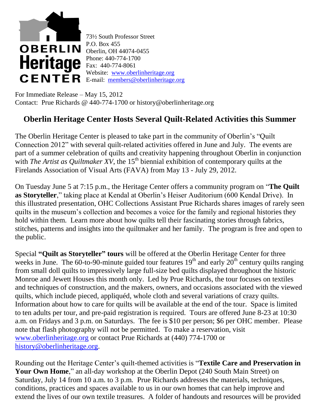

73½ South Professor Street P.O. Box 455 Oberlin, OH 44074-0455 Phone: 440-774-1700 Fax: 440-774-8061 Website: [www.oberlinheritage.org](http://www.oberlinheritage.org/) CENTER E-mail: [members@oberlinheritage.org](mailto:members@oberlinheritage.org)

For Immediate Release – May 15, 2012 Contact: Prue Richards @ 440-774-1700 or history@oberlinheritage.org

## **Oberlin Heritage Center Hosts Several Quilt-Related Activities this Summer**

The Oberlin Heritage Center is pleased to take part in the community of Oberlin's "Quilt Connection 2012" with several quilt-related activities offered in June and July. The events are part of a summer celebration of quilts and creativity happening throughout Oberlin in conjunction with *The Artist as Quiltmaker XV*, the 15<sup>th</sup> biennial exhibition of contemporary quilts at the Firelands Association of Visual Arts (FAVA) from May 13 - July 29, 2012.

On Tuesday June 5 at 7:15 p.m., the Heritage Center offers a community program on "**The Quilt as Storyteller**," taking place at Kendal at Oberlin's Heiser Auditorium (600 Kendal Drive). In this illustrated presentation, OHC Collections Assistant Prue Richards shares images of rarely seen quilts in the museum's collection and becomes a voice for the family and regional histories they hold within them. Learn more about how quilts tell their fascinating stories through fabrics, stitches, patterns and insights into the quiltmaker and her family. The program is free and open to the public.

Special **"Quilt as Storyteller" tours** will be offered at the Oberlin Heritage Center for three weeks in June. The 60-to-90-minute guided tour features  $19<sup>th</sup>$  and early  $20<sup>th</sup>$  century quilts ranging from small doll quilts to impressively large full-size bed quilts displayed throughout the historic Monroe and Jewett Houses this month only. Led by Prue Richards, the tour focuses on textiles and techniques of construction, and the makers, owners, and occasions associated with the viewed quilts, which include pieced, appliquéd, whole cloth and several variations of crazy quilts. Information about how to care for quilts will be available at the end of the tour. Space is limited to ten adults per tour, and pre-paid registration is required. Tours are offered June 8-23 at 10:30 a.m. on Fridays and 3 p.m. on Saturdays. The fee is \$10 per person; \$6 per OHC member. Please note that flash photography will not be permitted. To make a reservation, visit [www.oberlinheritage.org](http://www.oberlinheritage.org/) or contact Prue Richards at (440) 774-1700 or [history@oberlinheritage.org.](mailto:history@oberlinheritage.org)

Rounding out the Heritage Center's quilt-themed activities is "**Textile Care and Preservation in**  Your Own Home," an all-day workshop at the Oberlin Depot (240 South Main Street) on Saturday, July 14 from 10 a.m. to 3 p.m. Prue Richards addresses the materials, techniques, conditions, practices and spaces available to us in our own homes that can help improve and extend the lives of our own textile treasures. A folder of handouts and resources will be provided